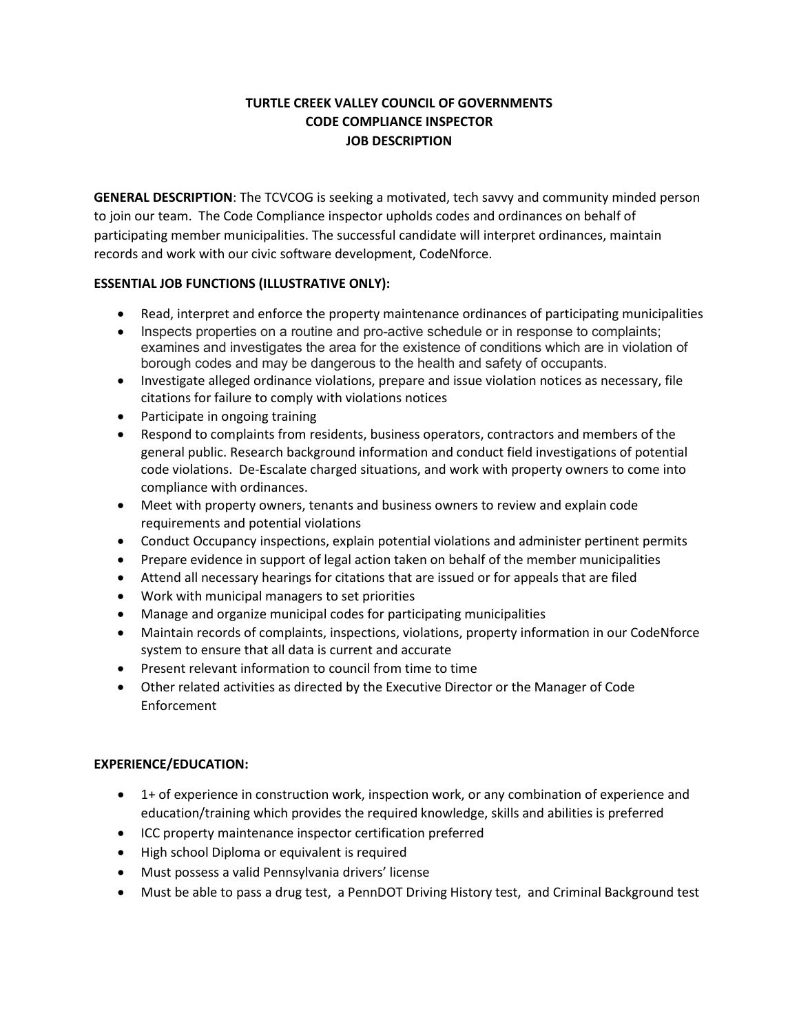# **TURTLE CREEK VALLEY COUNCIL OF GOVERNMENTS CODE COMPLIANCE INSPECTOR JOB DESCRIPTION**

**GENERAL DESCRIPTION**: The TCVCOG is seeking a motivated, tech savvy and community minded person to join our team. The Code Compliance inspector upholds codes and ordinances on behalf of participating member municipalities. The successful candidate will interpret ordinances, maintain records and work with our civic software development, CodeNforce.

## **ESSENTIAL JOB FUNCTIONS (ILLUSTRATIVE ONLY):**

- Read, interpret and enforce the property maintenance ordinances of participating municipalities
- Inspects properties on a routine and pro-active schedule or in response to complaints; examines and investigates the area for the existence of conditions which are in violation of borough codes and may be dangerous to the health and safety of occupants.
- Investigate alleged ordinance violations, prepare and issue violation notices as necessary, file citations for failure to comply with violations notices
- Participate in ongoing training
- Respond to complaints from residents, business operators, contractors and members of the general public. Research background information and conduct field investigations of potential code violations. De-Escalate charged situations, and work with property owners to come into compliance with ordinances.
- Meet with property owners, tenants and business owners to review and explain code requirements and potential violations
- Conduct Occupancy inspections, explain potential violations and administer pertinent permits
- Prepare evidence in support of legal action taken on behalf of the member municipalities
- Attend all necessary hearings for citations that are issued or for appeals that are filed
- Work with municipal managers to set priorities
- Manage and organize municipal codes for participating municipalities
- Maintain records of complaints, inspections, violations, property information in our CodeNforce system to ensure that all data is current and accurate
- Present relevant information to council from time to time
- Other related activities as directed by the Executive Director or the Manager of Code Enforcement

## **EXPERIENCE/EDUCATION:**

- 1+ of experience in construction work, inspection work, or any combination of experience and education/training which provides the required knowledge, skills and abilities is preferred
- ICC property maintenance inspector certification preferred
- High school Diploma or equivalent is required
- Must possess a valid Pennsylvania drivers' license
- Must be able to pass a drug test, a PennDOT Driving History test, and Criminal Background test